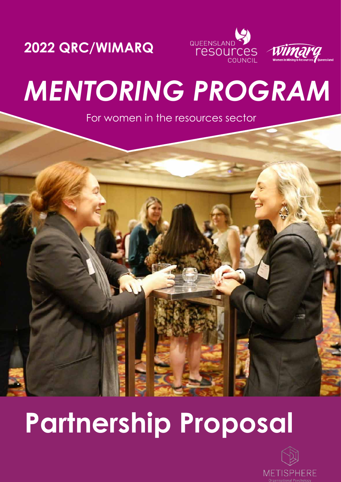**2022 QRC/WIMARQ**





# *MENTORING PROGRAM*

For women in the resources sector



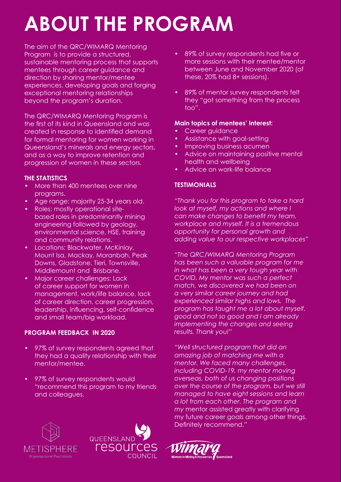# **ABOUT THE PROGRAM**

The aim of the QRC/WIMARQ Mentoring Program is to provide a structured, sustainable mentoring process that supports mentees through career guidance and direction by sharing mentor/mentee experiences, developing goals and forging exceptional mentoring relationships beyond the program's duration.

The QRC/WIMARQ Mentoring Program is the first of its kind in Queensland and was created in response to identified demand for formal mentoring for women working in Queensland's minerals and energy sectors, and as a way to improve retention and progression of women in these sectors.

#### **THE STATISTICS**

- More than 400 mentees over nine programs.
- Age range: majority 25-34 years old.
- Roles: mostly operational sitebased roles in predominantly mining engineering followed by geology, environmental science, HSE, training and community relations.
- Locations: Blackwater, McKinlay, Mount Isa, Mackay, Moranbah, Peak Downs, Gladstone, Tieri, Townsville, Middlemount and Brisbane.
- Major career challenges: Lack of career support for women in management, work/life balance, lack of career direction, career progression, leadership, influencing, self-confidence and small team/big workload.

#### **PROGRAM FEEDBACK IN 2020**

- 97% of survey respondents agreed that they had a quality relationship with their mentor/mentee.
- 97% of survey respondents would "recommend this program to my friends and colleagues.
- 89% of survey respondents had five or more sessions with their mentee/mentor between June and November 2020 (of these, 20% had 8+ sessions).
- 89% of mentor survey respondents felt they "got something from the process too".

#### **Main topics of mentees' interest:**

- Career quidance
- Assistance with goal-setting
- Improving business acumen
- Advice on maintaining positive mental health and wellbeing
- Advice on work-life balance

#### **TESTIMONIALS**

*"Thank you for this program to take a hard look at myself, my actions and where I can make changes to benefit my team, workplace and myself. It is a tremendous opportunity for personal growth and adding value to our respective workplaces"*

*"The QRC/WIMARQ Mentoring Program has been such a valuable program for me in what has been a very tough year with COVID. My mentor was such a perfect match, we discovered we had been on a very similar career journey and had experienced similar highs and lows. The program has taught me a lot about myself, good and not so good and I am already implementing the changes and seeing results. Thank you!"*

*"Well structured program that did an amazing job of matching me with a mentor. We faced many challenges, including COVID-19, my mentor moving overseas, both of us changing positions over the course of the program, but we still managed to have eight sessions and learn a lot from each other. The program and my* mentor assisted greatly with clarifying my future career goals among other things. Definitely recommend."





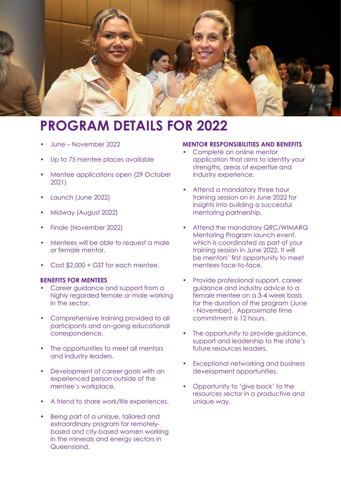

### **PROGRAM DETAILS FOR 2022**

- June November 2022
- Up to 75 mentee places available
- Mentee applications open (29 October 2021)
- Launch (June 2022)
- Midway (August 2022)
- Finale (November 2022)
- Mentees will be able to request a male or female mentor.
- Cost \$2,000 + GST for each mentee.

#### **BENEFITS FOR MENTEES**

- Career guidance and support from a highly regarded female or male working in the sector.
- Comprehensive training provided to all participants and on-going educational correspondence.
- The opportunities to meet all mentors and industry leaders.
- Development of career goals with an experienced person outside of the mentee's workplace.
- A friend to share work/life experiences.
- Being part of a unique, tailored and extraordinary program for remotelybased and city-based women working in the minerals and energy sectors in Queensland.

#### **MENTOR RESPONSIBILITIES AND BENEFITS**

- Complete an online mentor application that aims to identify your strengths, areas of expertise and industry experience.
- Attend a mandatory three hour training session on in June 2022 for insights into building a successful mentoring partnership.
- Attend the mandatory QRC/WIMARQ Mentoring Program launch event, which is coordinated as part of your training session in June 2022. It will be mentors' first opportunity to meet mentees face-to-face.
- Provide professional support, career guidance and industry advice to a female mentee on a 3-4 week basis for the duration of the program (June - November). Approximate time commitment is 12 hours.
- The opportunity to provide guidance, support and leadership to the state's future resources leaders.
- **Exceptional networking and business** development opportunities.
- Opportunity to 'give back' to the resources sector in a productive and unique way.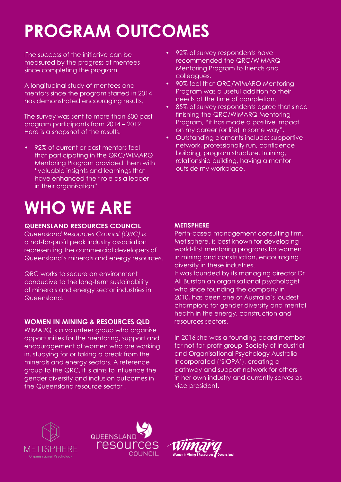### **PROGRAM OUTCOMES**

lThe success of the initiative can be measured by the progress of mentees since completing the program.

A longitudinal study of mentees and mentors since the program started in 2014 has demonstrated encouraging results.

The survey was sent to more than 600 past program participants from 2014 – 2019. Here is a snapshot of the results.

• 92% of current or past mentors feel that participating in the QRC/WIMARQ Mentoring Program provided them with "valuable insights and learnings that have enhanced their role as a leader in their organisation".

## **WHO WE ARE**

#### **QUEENSLAND RESOURCES COUNCIL**

*Queensland Resources Council (QRC) is*  a not-for-profit peak industry association representing the commercial developers of Queensland's minerals and energy resources.

QRC works to secure an environment conducive to the long-term sustainability of minerals and energy sector industries in Queensland.

#### **WOMEN IN MINING & RESOURCES QLD**

WIMARQ is a volunteer group who organise opportunities for the mentoring, support and encouragement of women who are working in, studying for or taking a break from the minerals and energy sectors. A reference group to the QRC, it is aims to influence the gender diversity and inclusion outcomes in the Queensland resource sector .

- 92% of survey respondents have recommended the QRC/WIMARQ Mentoring Program to friends and colleagues.
- 90% feel that QRC/WIMARQ Mentoring Program was a useful addition to their needs at the time of completion.
- 85% of survey respondents agree that since finishing the QRC/WIMARQ Mentoring Program, "it has made a positive impact on my career (or life) in some way".
- Outstanding elements include: supportive network, professionally run, confidence building, program structure, training, relationship building, having a mentor outside my workplace.

#### **METISPHERE**

Perth-based management consulting firm, Metisphere, is best known for developing world-first mentoring programs for women in mining and construction, encouraging diversity in these industries. It was founded by its managing director Dr Ali Burston an organisational psychologist who since founding the company in

2010, has been one of Australia's loudest champions for gender diversity and mental health in the energy, construction and resources sectors.

In 2016 she was a founding board member for not-for-profit group, Society of Industrial and Organisational Psychology Australia Incorporated ('SIOPA'), creating a pathway and support network for others in her own industry and currently serves as vice president.





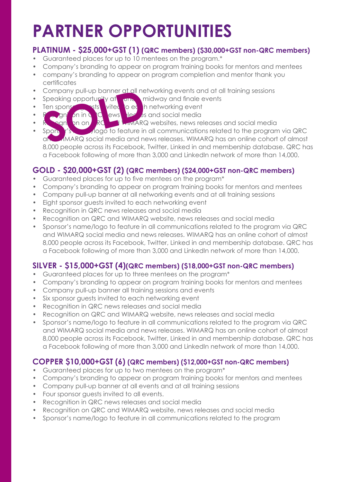### **PARTNER OPPORTUNITIES**

#### **PLATINUM - \$25,000+GST (1) (QRC members) (\$30,000+GST non-QRC members)**

- Guaranteed places for up to 10 mentees on the program.\*
- Company's branding to appear on program training books for mentors and mentees
- company's branding to appear on program completion and mentor thank you certificates
- Company pull-up banner at all networking events and at all training sessions
- Speaking opportunity at launch, midway and finale events
- Ten sponsor guests wited to ed thinetworking event
- $R_{\text{e}}$  and on in QRC ews recognition and social media
- $\cdot$  Recognition on  $\mathbb{R}$ C and WIMARQ websites, news releases and social media
- Sponsor's and logo to feature in all communications related to the program via QRC and MIMARQ social media and news releases. WIMARQ has an online cohort of almost 8,000 people across its Facebook, Twitter, Linked in and membership database. QRC has a Facebook following of more than 3,000 and LinkedIn network of more than 14,000. Company pull-up banner ar cline<br>Speaking opportunity at<br>Ten spons statistics of particles<br>of the spons of the statistics of the statistics of the statistics<br>Spons r's dogo to feature in<br>an MARQ social media and ne

#### **GOLD - \$20,000+GST (2) (QRC members) (\$24,000+GST non-QRC members)**

- Guaranteed places for up to five mentees on the program\*
- Company's branding to appear on program training books for mentors and mentees
- Company pull-up banner at all networking events and at all training sessions
- Eight sponsor guests invited to each networking event
- Recognition in QRC news releases and social media
- Recognition on QRC and WIMARQ website, news releases and social media
- Sponsor's name/logo to feature in all communications related to the program via QRC and WIMARQ social media and news releases. WIMARQ has an online cohort of almost 8,000 people across its Facebook, Twitter, Linked in and membership database. QRC has a Facebook following of more than 3,000 and LinkedIn network of more than 14,000.

#### **SILVER - \$15,000+GST (4)(QRC members) (\$18,000+GST non-QRC members)**

- Guaranteed places for up to three mentees on the program\*
- Company's branding to appear on program training books for mentors and mentees
- Company pull-up banner all training sessions and events
- Six sponsor guests invited to each networking event
- Recognition in QRC news releases and social media
- Recognition on QRC and WIMARQ website, news releases and social media
- Sponsor's name/logo to feature in all communications related to the program via QRC and WIMARQ social media and news releases. WIMARQ has an online cohort of almost 8,000 people across its Facebook, Twitter, Linked in and membership database. QRC has a Facebook following of more than 3,000 and LinkedIn network of more than 14,000.

#### **COPPER \$10,000+GST (6) (QRC members) (\$12,000+GST non-QRC members)**

- Guaranteed places for up to two mentees on the program\*
- Company's branding to appear on program training books for mentors and mentees
- Company pull-up banner at all events and at all training sessions
- Four sponsor guests invited to all events.
- Recognition in QRC news releases and social media
- Recognition on QRC and WIMARQ website, news releases and social media
- Sponsor's name/logo to feature in all communications related to the program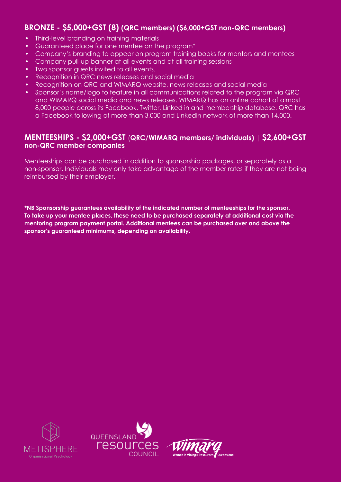#### **BRONZE - \$5,000+GST (8) (QRC members) (\$6,000+GST non-QRC members)**

- Third-level branding on training materials
- Guaranteed place for one mentee on the program\*
- Company's branding to appear on program training books for mentors and mentees
- Company pull-up banner at all events and at all training sessions
- Two sponsor guests invited to all events.
- Recognition in QRC news releases and social media
- Recognition on QRC and WIMARQ website, news releases and social media
- Sponsor's name/logo to feature in all communications related to the program via QRC and WIMARQ social media and news releases. WIMARQ has an online cohort of almost 8,000 people across its Facebook, Twitter, Linked in and membership database. QRC has a Facebook following of more than 3,000 and LinkedIn network of more than 14,000.

#### **MENTEESHIPS - \$2,000+GST** (**QRC/WIMARQ members/ individuals) | \$2,600+GST non-QRC member companies**

Menteeships can be purchased in addition to sponsorship packages, or separately as a non-sponsor. Individuals may only take advantage of the member rates if they are not being reimbursed by their employer.

**\*NB Sponsorship guarantees availability of the indicated number of menteeships for the sponsor. To take up your mentee places, these need to be purchased separately at additional cost via the mentoring program payment portal. Additional mentees can be purchased over and above the sponsor's guaranteed minimums, depending on availability.**





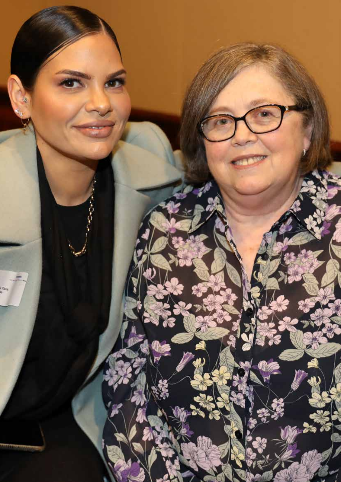